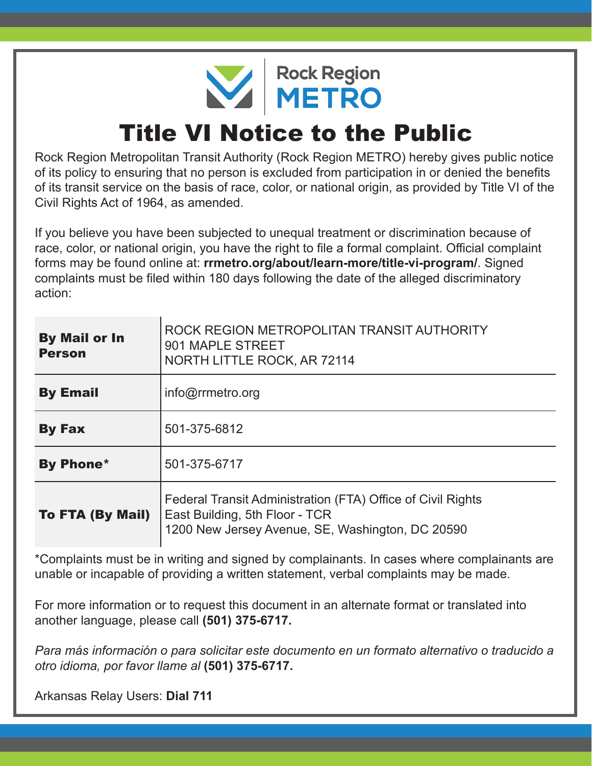NETRO

## Title VI Notice to the Public

Rock Region Metropolitan Transit Authority (Rock Region METRO) hereby gives public notice of its policy to ensuring that no person is excluded from participation in or denied the benefits of its transit service on the basis of race, color, or national origin, as provided by Title VI of the Civil Rights Act of 1964, as amended.

If you believe you have been subjected to unequal treatment or discrimination because of race, color, or national origin, you have the right to file a formal complaint. Official complaint forms may be found online at: **rrmetro.org/about/learn-more/title-vi-program/**. Signed complaints must be filed within 180 days following the date of the alleged discriminatory action:

| <b>By Mail or In</b><br><b>Person</b> | ROCK REGION METROPOLITAN TRANSIT AUTHORITY<br>901 MAPLE STREET<br>NORTH LITTLE ROCK, AR 72114                                                     |  |  |
|---------------------------------------|---------------------------------------------------------------------------------------------------------------------------------------------------|--|--|
| <b>By Email</b>                       | $info@r$ rmetro.org                                                                                                                               |  |  |
| <b>By Fax</b>                         | 501-375-6812                                                                                                                                      |  |  |
| <b>By Phone*</b>                      | 501-375-6717                                                                                                                                      |  |  |
| <b>To FTA (By Mail)</b>               | Federal Transit Administration (FTA) Office of Civil Rights<br>East Building, 5th Floor - TCR<br>1200 New Jersey Avenue, SE, Washington, DC 20590 |  |  |

\*Complaints must be in writing and signed by complainants. In cases where complainants are unable or incapable of providing a written statement, verbal complaints may be made.

For more information or to request this document in an alternate format or translated into another language, please call **(501) 375-6717.**

*Para más información o para solicitar este documento en un formato alternativo o traducido a otro idioma, por favor llame al* **(501) 375-6717.**

Arkansas Relay Users: **Dial 711**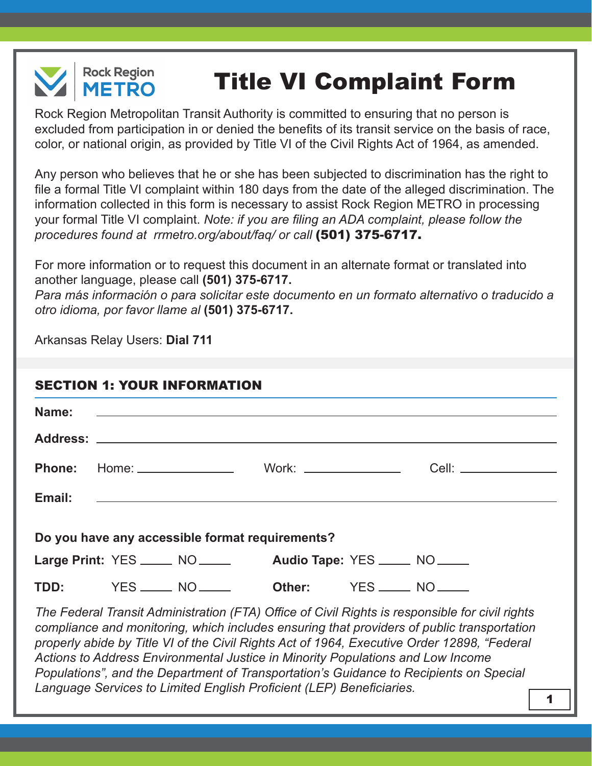

## Title VI Complaint Form

Rock Region Metropolitan Transit Authority is committed to ensuring that no person is excluded from participation in or denied the benefits of its transit service on the basis of race, color, or national origin, as provided by Title VI of the Civil Rights Act of 1964, as amended.

Any person who believes that he or she has been subjected to discrimination has the right to file a formal Title VI complaint within 180 days from the date of the alleged discrimination. The information collected in this form is necessary to assist Rock Region METRO in processing your formal Title VI complaint. *Note: if you are filing an ADA complaint, please follow the procedures found at rrmetro.org/about/faq/ or call* (501) 375-6717.

For more information or to request this document in an alternate format or translated into another language, please call **(501) 375-6717.**

*Para más información o para solicitar este documento en un formato alternativo o traducido a otro idioma, por favor llame al* **(501) 375-6717.**

Arkansas Relay Users: **Dial 711**

| Email: |  |                                                               | <u> 1980 - Andrea Barbara, amerikana amerikana personal dan personal dan personal dan personal dan personal dan </u>                                                                                                                                                                         |
|--------|--|---------------------------------------------------------------|----------------------------------------------------------------------------------------------------------------------------------------------------------------------------------------------------------------------------------------------------------------------------------------------|
|        |  | Do you have any accessible format requirements?               |                                                                                                                                                                                                                                                                                              |
|        |  | Large Print: YES _____ NO _____ Audio Tape: YES ____ NO ____  |                                                                                                                                                                                                                                                                                              |
|        |  | <b>TDD: YES</b> _____ NO _____ <b>Other: YES</b> ____ NO ____ |                                                                                                                                                                                                                                                                                              |
|        |  |                                                               | The Federal Transit Administration (FTA) Office of Civil Rights is responsible for civil rights<br>compliance and monitoring, which includes ensuring that providers of public transportation<br>properly abide by Title VI of the Civil Rights Act of 1964, Executive Order 12898, "Federal |

*Actions to Address Environmental Justice in Minority Populations and Low Income Populations", and the Department of Transportation's Guidance to Recipients on Special Language Services to Limited English Proficient (LEP) Beneficiaries.* <sup>1</sup>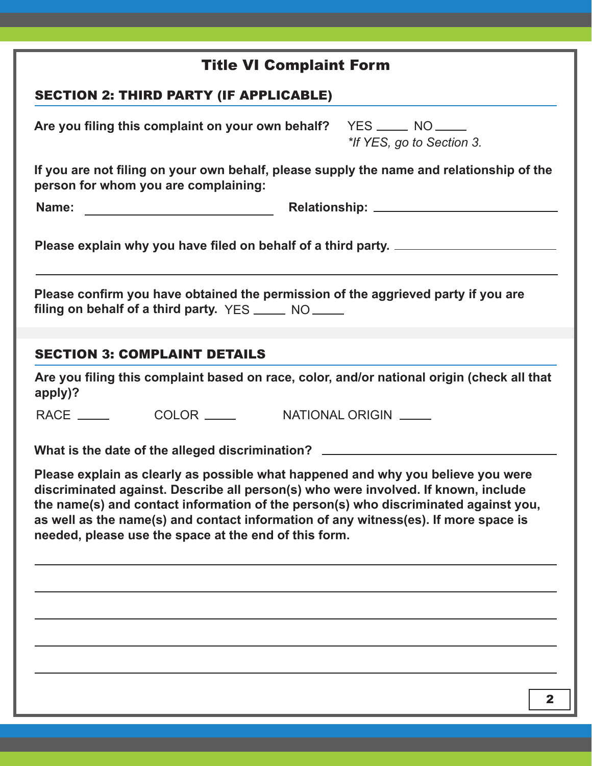| <b>Title VI Complaint Form</b>                                                                                                                                                                                                                                                                                                                                                                                |  |  |  |  |
|---------------------------------------------------------------------------------------------------------------------------------------------------------------------------------------------------------------------------------------------------------------------------------------------------------------------------------------------------------------------------------------------------------------|--|--|--|--|
| <b>SECTION 2: THIRD PARTY (IF APPLICABLE)</b>                                                                                                                                                                                                                                                                                                                                                                 |  |  |  |  |
| Are you filing this complaint on your own behalf? YES _____ NO _____<br>*If YES, go to Section 3.                                                                                                                                                                                                                                                                                                             |  |  |  |  |
| If you are not filing on your own behalf, please supply the name and relationship of the<br>person for whom you are complaining:                                                                                                                                                                                                                                                                              |  |  |  |  |
|                                                                                                                                                                                                                                                                                                                                                                                                               |  |  |  |  |
| Please explain why you have filed on behalf of a third party.                                                                                                                                                                                                                                                                                                                                                 |  |  |  |  |
| Please confirm you have obtained the permission of the aggrieved party if you are<br>filing on behalf of a third party. YES _______ NO ______                                                                                                                                                                                                                                                                 |  |  |  |  |
|                                                                                                                                                                                                                                                                                                                                                                                                               |  |  |  |  |
| <b>SECTION 3: COMPLAINT DETAILS</b>                                                                                                                                                                                                                                                                                                                                                                           |  |  |  |  |
| Are you filing this complaint based on race, color, and/or national origin (check all that<br>apply)?                                                                                                                                                                                                                                                                                                         |  |  |  |  |
|                                                                                                                                                                                                                                                                                                                                                                                                               |  |  |  |  |
| What is the date of the alleged discrimination? ________________________________                                                                                                                                                                                                                                                                                                                              |  |  |  |  |
| Please explain as clearly as possible what happened and why you believe you were<br>discriminated against. Describe all person(s) who were involved. If known, include<br>the name(s) and contact information of the person(s) who discriminated against you,<br>as well as the name(s) and contact information of any witness(es). If more space is<br>needed, please use the space at the end of this form. |  |  |  |  |
|                                                                                                                                                                                                                                                                                                                                                                                                               |  |  |  |  |
|                                                                                                                                                                                                                                                                                                                                                                                                               |  |  |  |  |
|                                                                                                                                                                                                                                                                                                                                                                                                               |  |  |  |  |
|                                                                                                                                                                                                                                                                                                                                                                                                               |  |  |  |  |
|                                                                                                                                                                                                                                                                                                                                                                                                               |  |  |  |  |
| $\mathbf{2}$                                                                                                                                                                                                                                                                                                                                                                                                  |  |  |  |  |
|                                                                                                                                                                                                                                                                                                                                                                                                               |  |  |  |  |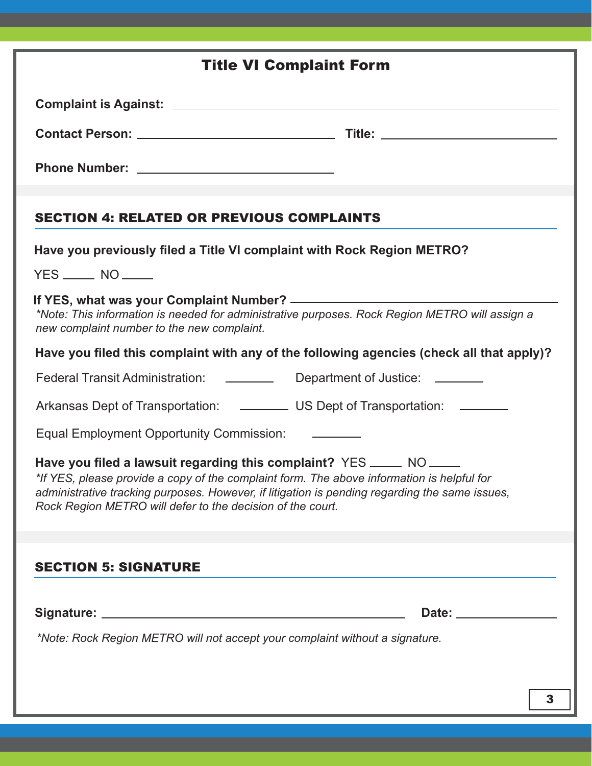| <b>Title VI Complaint Form</b>                                                                                                                                                                                                                                                                                                     |  |  |  |  |
|------------------------------------------------------------------------------------------------------------------------------------------------------------------------------------------------------------------------------------------------------------------------------------------------------------------------------------|--|--|--|--|
|                                                                                                                                                                                                                                                                                                                                    |  |  |  |  |
|                                                                                                                                                                                                                                                                                                                                    |  |  |  |  |
|                                                                                                                                                                                                                                                                                                                                    |  |  |  |  |
| <b>SECTION 4: RELATED OR PREVIOUS COMPLAINTS</b>                                                                                                                                                                                                                                                                                   |  |  |  |  |
| Have you previously filed a Title VI complaint with Rock Region METRO?<br>$YES$ $NO$                                                                                                                                                                                                                                               |  |  |  |  |
| *Note: This information is needed for administrative purposes. Rock Region METRO will assign a<br>new complaint number to the new complaint.                                                                                                                                                                                       |  |  |  |  |
| Have you filed this complaint with any of the following agencies (check all that apply)?                                                                                                                                                                                                                                           |  |  |  |  |
| Federal Transit Administration: ___________ Department of Justice: _______                                                                                                                                                                                                                                                         |  |  |  |  |
| Arkansas Dept of Transportation: _____________ US Dept of Transportation: _______                                                                                                                                                                                                                                                  |  |  |  |  |
| Equal Employment Opportunity Commission: ________                                                                                                                                                                                                                                                                                  |  |  |  |  |
| Have you filed a lawsuit regarding this complaint? YES _____ NO ____<br>*If YES, please provide a copy of the complaint form. The above information is helpful for<br>administrative tracking purposes. However, if litigation is pending regarding the same issues,<br>Rock Region METRO will defer to the decision of the court. |  |  |  |  |
|                                                                                                                                                                                                                                                                                                                                    |  |  |  |  |
| <b>SECTION 5: SIGNATURE</b>                                                                                                                                                                                                                                                                                                        |  |  |  |  |
|                                                                                                                                                                                                                                                                                                                                    |  |  |  |  |
| *Note: Rock Region METRO will not accept your complaint without a signature.                                                                                                                                                                                                                                                       |  |  |  |  |
|                                                                                                                                                                                                                                                                                                                                    |  |  |  |  |
| 3                                                                                                                                                                                                                                                                                                                                  |  |  |  |  |